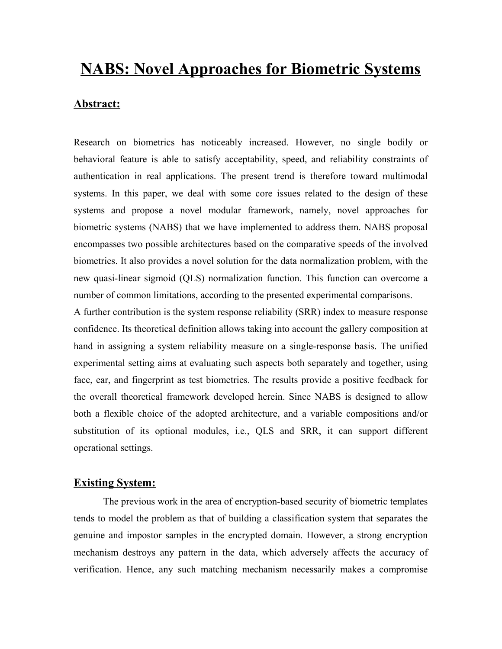# **NABS: Novel Approaches for Biometric Systems**

#### **Abstract:**

Research on biometrics has noticeably increased. However, no single bodily or behavioral feature is able to satisfy acceptability, speed, and reliability constraints of authentication in real applications. The present trend is therefore toward multimodal systems. In this paper, we deal with some core issues related to the design of these systems and propose a novel modular framework, namely, novel approaches for biometric systems (NABS) that we have implemented to address them. NABS proposal encompasses two possible architectures based on the comparative speeds of the involved biometries. It also provides a novel solution for the data normalization problem, with the new quasi-linear sigmoid (QLS) normalization function. This function can overcome a number of common limitations, according to the presented experimental comparisons.

A further contribution is the system response reliability (SRR) index to measure response confidence. Its theoretical definition allows taking into account the gallery composition at hand in assigning a system reliability measure on a single-response basis. The unified experimental setting aims at evaluating such aspects both separately and together, using face, ear, and fingerprint as test biometries. The results provide a positive feedback for the overall theoretical framework developed herein. Since NABS is designed to allow both a flexible choice of the adopted architecture, and a variable compositions and/or substitution of its optional modules, i.e., QLS and SRR, it can support different operational settings.

#### **Existing System:**

The previous work in the area of encryption-based security of biometric templates tends to model the problem as that of building a classification system that separates the genuine and impostor samples in the encrypted domain. However, a strong encryption mechanism destroys any pattern in the data, which adversely affects the accuracy of verification. Hence, any such matching mechanism necessarily makes a compromise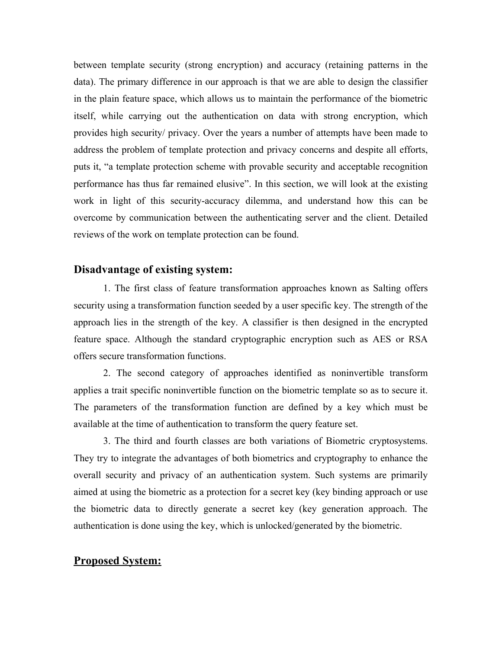between template security (strong encryption) and accuracy (retaining patterns in the data). The primary difference in our approach is that we are able to design the classifier in the plain feature space, which allows us to maintain the performance of the biometric itself, while carrying out the authentication on data with strong encryption, which provides high security/ privacy. Over the years a number of attempts have been made to address the problem of template protection and privacy concerns and despite all efforts, puts it, "a template protection scheme with provable security and acceptable recognition performance has thus far remained elusive. In this section, we will look at the existing work in light of this security-accuracy dilemma, and understand how this can be overcome by communication between the authenticating server and the client. Detailed reviews of the work on template protection can be found.

### **Disadvantage of existing system:**

1. The first class of feature transformation approaches known as Salting offers security using a transformation function seeded by a user specific key. The strength of the approach lies in the strength of the key. A classifier is then designed in the encrypted feature space. Although the standard cryptographic encryption such as AES or RSA offers secure transformation functions.

2. The second category of approaches identified as noninvertible transform applies a trait specific noninvertible function on the biometric template so as to secure it. The parameters of the transformation function are defined by a key which must be available at the time of authentication to transform the query feature set.

3. The third and fourth classes are both variations of Biometric cryptosystems. They try to integrate the advantages of both biometrics and cryptography to enhance the overall security and privacy of an authentication system. Such systems are primarily aimed at using the biometric as a protection for a secret key (key binding approach or use the biometric data to directly generate a secret key (key generation approach. The authentication is done using the key, which is unlocked/generated by the biometric.

### **Proposed System:**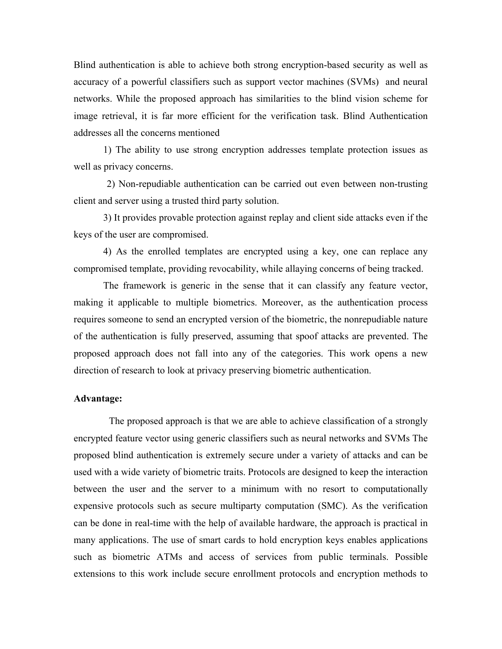Blind authentication is able to achieve both strong encryption-based security as well as accuracy of a powerful classifiers such as support vector machines (SVMs) and neural networks. While the proposed approach has similarities to the blind vision scheme for image retrieval, it is far more efficient for the verification task. Blind Authentication addresses all the concerns mentioned

1) The ability to use strong encryption addresses template protection issues as well as privacy concerns.

2) Non-repudiable authentication can be carried out even between non-trusting client and server using a trusted third party solution.

3) It provides provable protection against replay and client side attacks even if the keys of the user are compromised.

4) As the enrolled templates are encrypted using a key, one can replace any compromised template, providing revocability, while allaying concerns of being tracked.

The framework is generic in the sense that it can classify any feature vector, making it applicable to multiple biometrics. Moreover, as the authentication process requires someone to send an encrypted version of the biometric, the nonrepudiable nature of the authentication is fully preserved, assuming that spoof attacks are prevented. The proposed approach does not fall into any of the categories. This work opens a new direction of research to look at privacy preserving biometric authentication.

#### **Advantage:**

The proposed approach is that we are able to achieve classification of a strongly encrypted feature vector using generic classifiers such as neural networks and SVMs The proposed blind authentication is extremely secure under a variety of attacks and can be used with a wide variety of biometric traits. Protocols are designed to keep the interaction between the user and the server to a minimum with no resort to computationally expensive protocols such as secure multiparty computation (SMC). As the verification can be done in real-time with the help of available hardware, the approach is practical in many applications. The use of smart cards to hold encryption keys enables applications such as biometric ATMs and access of services from public terminals. Possible extensions to this work include secure enrollment protocols and encryption methods to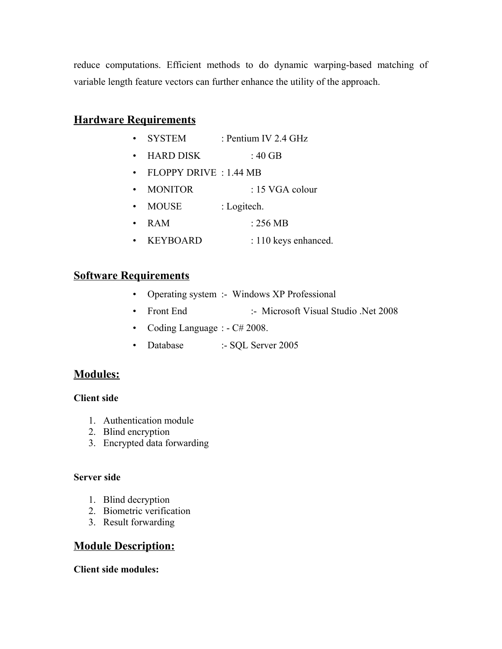reduce computations. Efficient methods to do dynamic warping-based matching of variable length feature vectors can further enhance the utility of the approach.

# **Hardware Requirements**

- SYSTEM : Pentium IV 2.4 GHz
- $\cdot$  HARD DISK  $\cdot$  40 GB
- FLOPPY DRIVE : 1.44 MB
- MONITOR : 15 VGA colour
- MOUSE : Logitech.
- RAM : 256 MB
- KEYBOARD : 110 keys enhanced.

## **Software Requirements**

- Operating system :- Windows XP Professional
- Front End :- Microsoft Visual Studio .Net 2008
- Coding Language : C# 2008.
- Database :- SQL Server 2005

### **Modules:**

### **Client side**

- 1. Authentication module
- 2. Blind encryption
- 3. Encrypted data forwarding

### **Server side**

- 1. Blind decryption
- 2. Biometric verification
- 3. Result forwarding

# **Module Description:**

**Client side modules:**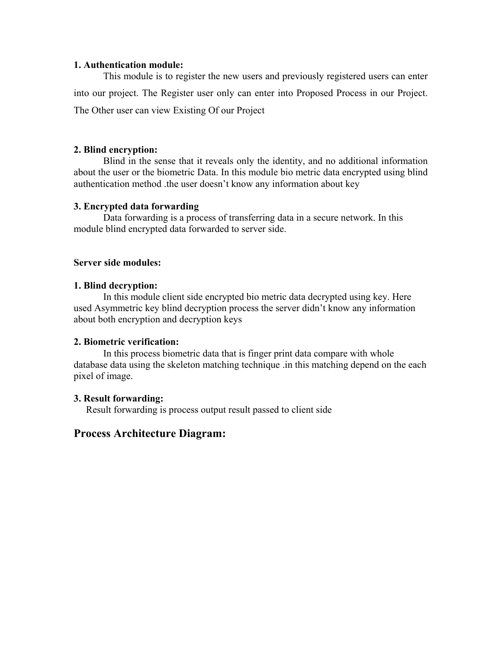#### **1. Authentication module:**

This module is to register the new users and previously registered users can enter into our project. The Register user only can enter into Proposed Process in our Project. The Other user can view Existing Of our Project

### **2. Blind encryption:**

Blind in the sense that it reveals only the identity, and no additional information about the user or the biometric Data. In this module bio metric data encrypted using blind authentication method .the user doesn't know any information about key

### **3. Encrypted data forwarding**

Data forwarding is a process of transferring data in a secure network. In this module blind encrypted data forwarded to server side.

#### **Server side modules:**

### **1. Blind decryption:**

In this module client side encrypted bio metric data decrypted using key. Here used Asymmetric key blind decryption process the server didn't know any information about both encryption and decryption keys

### **2. Biometric verification:**

In this process biometric data that is finger print data compare with whole database data using the skeleton matching technique .in this matching depend on the each pixel of image.

#### **3. Result forwarding:**

Result forwarding is process output result passed to client side

### **Process Architecture Diagram:**